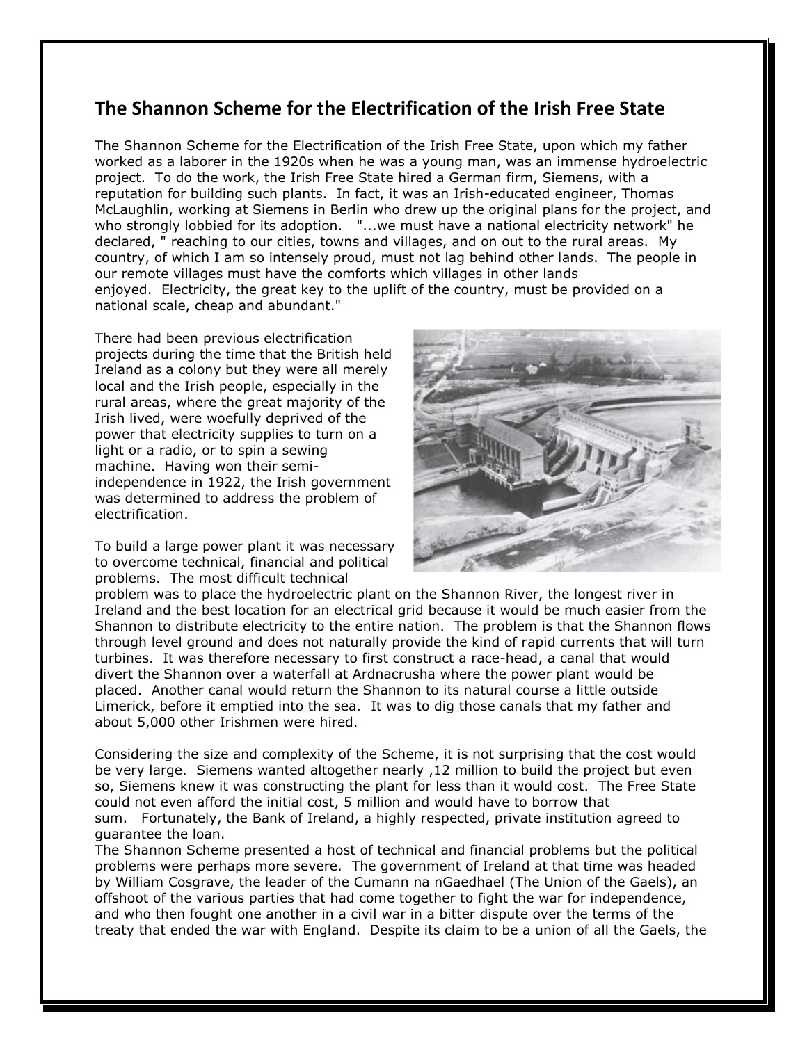## **The Shannon Scheme for the Electrification of the Irish Free State**

The Shannon Scheme for the Electrification of the Irish Free State, upon which my father worked as a laborer in the 1920s when he was a young man, was an immense hydroelectric project. To do the work, the Irish Free State hired a German firm, Siemens, with a reputation for building such plants. In fact, it was an Irish-educated engineer, Thomas McLaughlin, working at Siemens in Berlin who drew up the original plans for the project, and who strongly lobbied for its adoption. "...we must have a national electricity network" he declared, " reaching to our cities, towns and villages, and on out to the rural areas. My country, of which I am so intensely proud, must not lag behind other lands. The people in our remote villages must have the comforts which villages in other lands enjoyed. Electricity, the great key to the uplift of the country, must be provided on a national scale, cheap and abundant."

There had been previous electrification projects during the time that the British held Ireland as a colony but they were all merely local and the Irish people, especially in the rural areas, where the great majority of the Irish lived, were woefully deprived of the power that electricity supplies to turn on a light or a radio, or to spin a sewing machine. Having won their semiindependence in 1922, the Irish government was determined to address the problem of electrification.

To build a large power plant it was necessary to overcome technical, financial and political problems. The most difficult technical



problem was to place the hydroelectric plant on the Shannon River, the longest river in Ireland and the best location for an electrical grid because it would be much easier from the Shannon to distribute electricity to the entire nation. The problem is that the Shannon flows through level ground and does not naturally provide the kind of rapid currents that will turn turbines. It was therefore necessary to first construct a race-head, a canal that would divert the Shannon over a waterfall at Ardnacrusha where the power plant would be placed. Another canal would return the Shannon to its natural course a little outside Limerick, before it emptied into the sea. It was to dig those canals that my father and about 5,000 other Irishmen were hired.

Considering the size and complexity of the Scheme, it is not surprising that the cost would be very large. Siemens wanted altogether nearly ,12 million to build the project but even so, Siemens knew it was constructing the plant for less than it would cost. The Free State could not even afford the initial cost, 5 million and would have to borrow that sum. Fortunately, the Bank of Ireland, a highly respected, private institution agreed to guarantee the loan.

The Shannon Scheme presented a host of technical and financial problems but the political problems were perhaps more severe. The government of Ireland at that time was headed by William Cosgrave, the leader of the Cumann na nGaedhael (The Union of the Gaels), an offshoot of the various parties that had come together to fight the war for independence, and who then fought one another in a civil war in a bitter dispute over the terms of the treaty that ended the war with England. Despite its claim to be a union of all the Gaels, the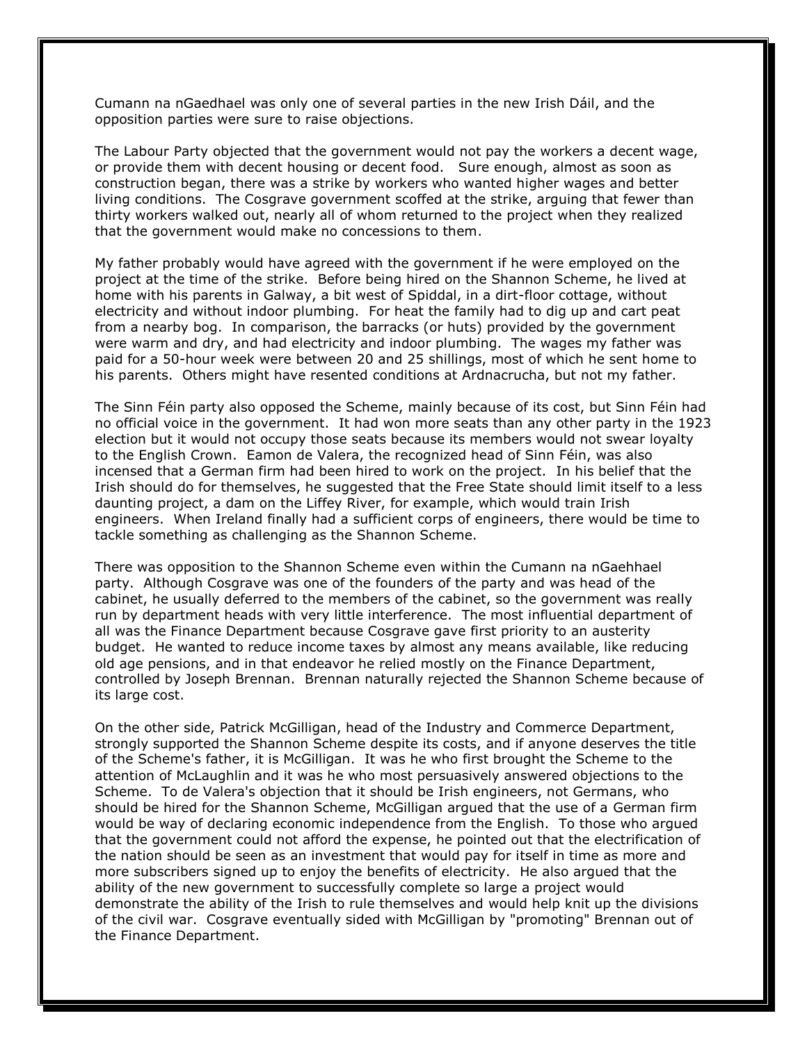Cumann na nGaedhael was only one of several parties in the new Irish Dáil, and the opposition parties were sure to raise objections.

The Labour Party objected that the government would not pay the workers a decent wage, or provide them with decent housing or decent food. Sure enough, almost as soon as construction began, there was a strike by workers who wanted higher wages and better living conditions. The Cosgrave government scoffed at the strike, arguing that fewer than thirty workers walked out, nearly all of whom returned to the project when they realized that the government would make no concessions to them.

My father probably would have agreed with the government if he were employed on the project at the time of the strike. Before being hired on the Shannon Scheme, he lived at home with his parents in Galway, a bit west of Spiddal, in a dirt-floor cottage, without electricity and without indoor plumbing. For heat the family had to dig up and cart peat from a nearby bog. In comparison, the barracks (or huts) provided by the government were warm and dry, and had electricity and indoor plumbing. The wages my father was paid for a 50-hour week were between 20 and 25 shillings, most of which he sent home to his parents. Others might have resented conditions at Ardnacrucha, but not my father.

The Sinn Féin party also opposed the Scheme, mainly because of its cost, but Sinn Féin had no official voice in the government. It had won more seats than any other party in the 1923 election but it would not occupy those seats because its members would not swear loyalty to the English Crown. Eamon de Valera, the recognized head of Sinn Féin, was also incensed that a German firm had been hired to work on the project. In his belief that the Irish should do for themselves, he suggested that the Free State should limit itself to a less daunting project, a dam on the Liffey River, for example, which would train Irish engineers. When Ireland finally had a sufficient corps of engineers, there would be time to tackle something as challenging as the Shannon Scheme.

There was opposition to the Shannon Scheme even within the Cumann na nGaehhael party. Although Cosgrave was one of the founders of the party and was head of the cabinet, he usually deferred to the members of the cabinet, so the government was really run by department heads with very little interference. The most influential department of all was the Finance Department because Cosgrave gave first priority to an austerity budget. He wanted to reduce income taxes by almost any means available, like reducing old age pensions, and in that endeavor he relied mostly on the Finance Department, controlled by Joseph Brennan. Brennan naturally rejected the Shannon Scheme because of its large cost.

On the other side, Patrick McGilligan, head of the Industry and Commerce Department, strongly supported the Shannon Scheme despite its costs, and if anyone deserves the title of the Scheme's father, it is McGilligan. It was he who first brought the Scheme to the attention of McLaughlin and it was he who most persuasively answered objections to the Scheme. To de Valera's objection that it should be Irish engineers, not Germans, who should be hired for the Shannon Scheme, McGilligan argued that the use of a German firm would be way of declaring economic independence from the English. To those who argued that the government could not afford the expense, he pointed out that the electrification of the nation should be seen as an investment that would pay for itself in time as more and more subscribers signed up to enjoy the benefits of electricity. He also argued that the ability of the new government to successfully complete so large a project would demonstrate the ability of the Irish to rule themselves and would help knit up the divisions of the civil war. Cosgrave eventually sided with McGilligan by "promoting" Brennan out of the Finance Department.